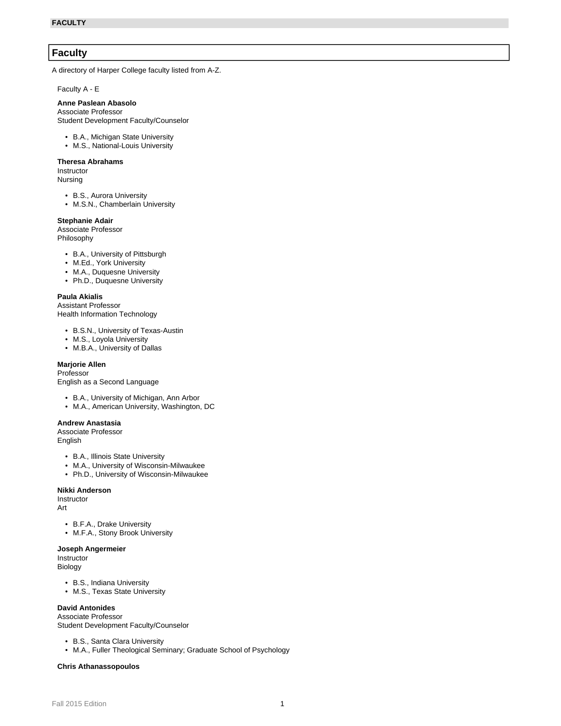# **Faculty**

A directory of Harper College faculty listed from A-Z.

Faculty A - E

#### **Anne Paslean Abasolo**

Associate Professor Student Development Faculty/Counselor

- B.A., Michigan State University
- M.S., National-Louis University

#### **Theresa Abrahams**

**Instructor** Nursing

- B.S., Aurora University
- M.S.N., Chamberlain University

#### **Stephanie Adair**

Associate Professor Philosophy

- B.A., University of Pittsburgh
- M.Ed., York University
- M.A., Duquesne University
- Ph.D., Duquesne University

#### **Paula Akialis**

Assistant Professor Health Information Technology

- B.S.N., University of Texas-Austin
- M.S., Loyola University
- M.B.A., University of Dallas

### **Marjorie Allen**

Professor

English as a Second Language

- B.A., University of Michigan, Ann Arbor
- M.A., American University, Washington, DC

#### **Andrew Anastasia**

Associate Professor English

- B.A., Illinois State University
- M.A., University of Wisconsin-Milwaukee
- Ph.D., University of Wisconsin-Milwaukee

#### **Nikki Anderson**

**Instructor** 

- Art
	- B.F.A., Drake University
	- M.F.A., Stony Brook University

#### **Joseph Angermeier**

Instructor

- Biology
	- B.S., Indiana University
	- M.S., Texas State University

### **David Antonides**

Associate Professor Student Development Faculty/Counselor

- B.S., Santa Clara University
- M.A., Fuller Theological Seminary; Graduate School of Psychology

#### **Chris Athanassopoulos**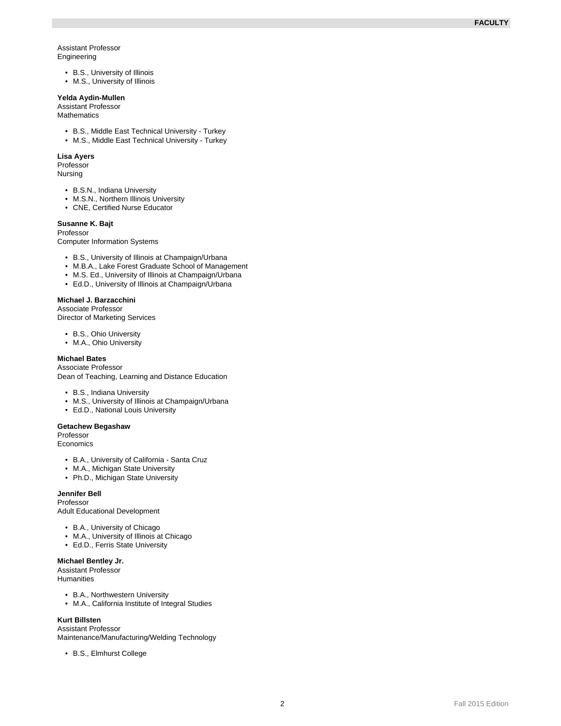#### Assistant Professor Engineering

- B.S., University of Illinois
- M.S., University of Illinois

# **Yelda Aydin-Mullen**

Assistant Professor Mathematics

- B.S., Middle East Technical University Turkey
- M.S., Middle East Technical University Turkey

### **Lisa Ayers**

Professor Nursing

- B.S.N., Indiana University
- M.S.N., Northern Illinois University
- CNE, Certified Nurse Educator

### **Susanne K. Bajt**

Professor

Computer Information Systems

- B.S., University of Illinois at Champaign/Urbana
- M.B.A., Lake Forest Graduate School of Management
- M.S. Ed., University of Illinois at Champaign/Urbana
- Ed.D., University of Illinois at Champaign/Urbana

### **Michael J. Barzacchini**

Associate Professor

Director of Marketing Services

- B.S., Ohio University
- M.A., Ohio University

# **Michael Bates**

Associate Professor Dean of Teaching, Learning and Distance Education

- B.S., Indiana University
- M.S., University of Illinois at Champaign/Urbana
- Ed.D., National Louis University

### **Getachew Begashaw**

Professor Economics

- B.A., University of California Santa Cruz
- M.A., Michigan State University
- Ph.D., Michigan State University

# **Jennifer Bell**

Professor Adult Educational Development

- B.A., University of Chicago
- M.A., University of Illinois at Chicago
- Ed.D., Ferris State University

### **Michael Bentley Jr.**

Assistant Professor

**Humanities** 

- B.A., Northwestern University
- M.A., California Institute of Integral Studies

### **Kurt Billsten**

Assistant Professor Maintenance/Manufacturing/Welding Technology

• B.S., Elmhurst College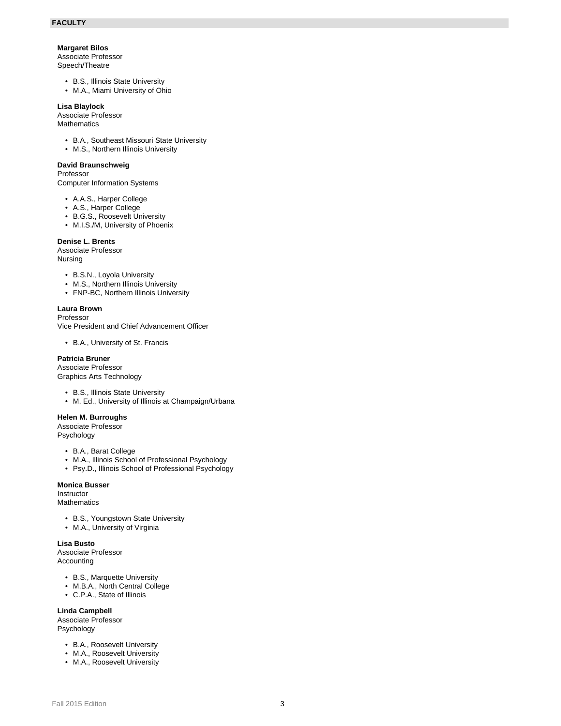### **Margaret Bilos**

Associate Professor

Speech/Theatre

- B.S., Illinois State University
- M.A., Miami University of Ohio

### **Lisa Blaylock**

Associate Professor

**Mathematics** 

- B.A., Southeast Missouri State University
- M.S., Northern Illinois University

### **David Braunschweig**

Professor

Computer Information Systems

- A.A.S., Harper College
- A.S., Harper College
- B.G.S., Roosevelt University
- M.I.S./M, University of Phoenix

### **Denise L. Brents**

Associate Professor Nursing

- B.S.N., Loyola University
- M.S., Northern Illinois University
- FNP-BC, Northern Illinois University

### **Laura Brown**

Professor

Vice President and Chief Advancement Officer

• B.A., University of St. Francis

# **Patricia Bruner**

Associate Professor Graphics Arts Technology

- B.S., Illinois State University
- M. Ed., University of Illinois at Champaign/Urbana

### **Helen M. Burroughs**

Associate Professor Psychology

- B.A., Barat College
- M.A., Illinois School of Professional Psychology
- Psy.D., Illinois School of Professional Psychology

### **Monica Busser**

Instructor

Mathematics

- B.S., Youngstown State University
- M.A., University of Virginia

#### **Lisa Busto**

Associate Professor Accounting

- B.S., Marquette University
- M.B.A., North Central College
- C.P.A., State of Illinois

**Linda Campbell**

Associate Professor Psychology

- B.A., Roosevelt University
- M.A., Roosevelt University
- M.A., Roosevelt University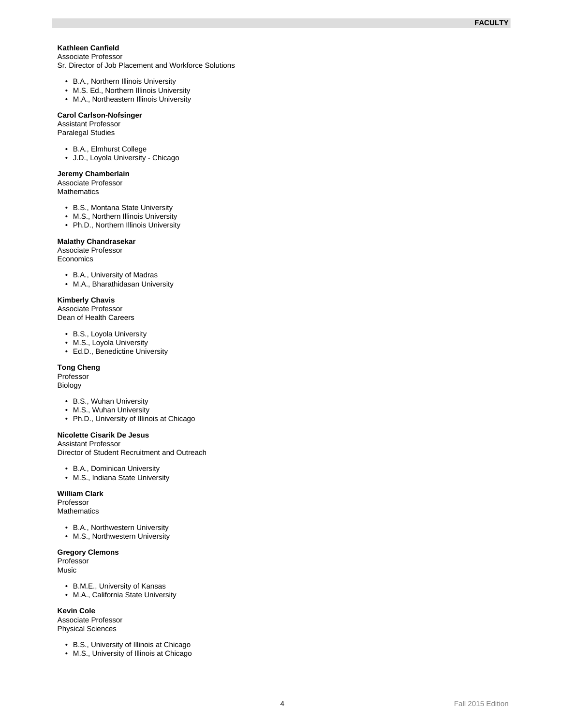#### **Kathleen Canfield** Associate Professor

Sr. Director of Job Placement and Workforce Solutions

- B.A., Northern Illinois University
- M.S. Ed., Northern Illinois University
- M.A., Northeastern Illinois University

#### **Carol Carlson-Nofsinger**

Assistant Professor Paralegal Studies

- B.A., Elmhurst College
- J.D., Loyola University Chicago

#### **Jeremy Chamberlain**

Associate Professor **Mathematics** 

- B.S., Montana State University
- M.S., Northern Illinois University
- Ph.D., Northern Illinois University

# **Malathy Chandrasekar**

Associate Professor **Economics** 

- B.A., University of Madras
- M.A., Bharathidasan University

#### **Kimberly Chavis**

Associate Professor Dean of Health Careers

- B.S., Loyola University
- M.S., Loyola University
- Ed.D., Benedictine University

### **Tong Cheng**

Professor

Biology

- B.S., Wuhan University
- M.S., Wuhan University
- Ph.D., University of Illinois at Chicago

### **Nicolette Cisarik De Jesus**

Assistant Professor Director of Student Recruitment and Outreach

- B.A., Dominican University
- M.S., Indiana State University

# **William Clark**

Professor **Mathematics** 

- B.A., Northwestern University
- M.S., Northwestern University

### **Gregory Clemons**

Professor Music

- B.M.E., University of Kansas
- M.A., California State University

**Kevin Cole**

Associate Professor Physical Sciences

- B.S., University of Illinois at Chicago
- M.S., University of Illinois at Chicago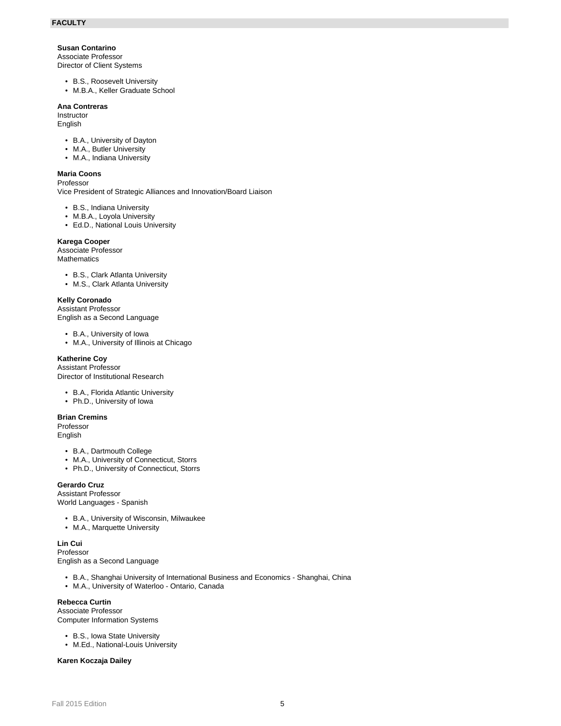### **Susan Contarino**

Associate Professor Director of Client Systems

- B.S., Roosevelt University
- M.B.A., Keller Graduate School

### **Ana Contreras**

Instructor English

- B.A., University of Dayton
- M.A., Butler University
- M.A., Indiana University

#### **Maria Coons**

Professor Vice President of Strategic Alliances and Innovation/Board Liaison

- B.S., Indiana University
- M.B.A., Loyola University
- Ed.D., National Louis University

#### **Karega Cooper**

Associate Professor **Mathematics** 

- B.S., Clark Atlanta University
- M.S., Clark Atlanta University

#### **Kelly Coronado**

Assistant Professor English as a Second Language

• B.A., University of Iowa

• M.A., University of Illinois at Chicago

### **Katherine Coy**

Assistant Professor Director of Institutional Research

- B.A., Florida Atlantic University
- Ph.D., University of Iowa

#### **Brian Cremins**

Professor English

- B.A., Dartmouth College
- M.A., University of Connecticut, Storrs
- Ph.D., University of Connecticut, Storrs

### **Gerardo Cruz**

Assistant Professor World Languages - Spanish

- B.A., University of Wisconsin, Milwaukee
- M.A., Marquette University

**Lin Cui**

Professor

English as a Second Language

- B.A., Shanghai University of International Business and Economics Shanghai, China
- M.A., University of Waterloo Ontario, Canada

### **Rebecca Curtin**

Associate Professor Computer Information Systems

- B.S., Iowa State University
- M.Ed., National-Louis University

**Karen Koczaja Dailey**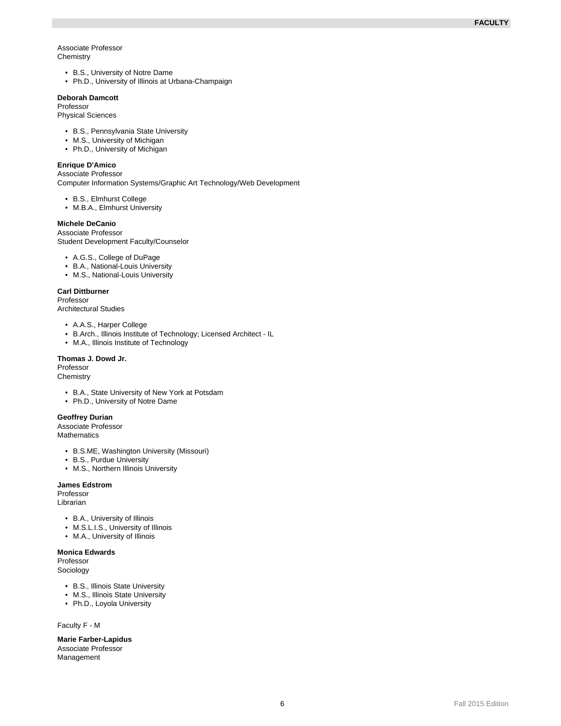#### Associate Professor **Chemistry**

- B.S., University of Notre Dame
- Ph.D., University of Illinois at Urbana-Champaign

## **Deborah Damcott**

Professor

Physical Sciences

- B.S., Pennsylvania State University
- M.S., University of Michigan
- Ph.D., University of Michigan

# **Enrique D'Amico**

Associate Professor

Computer Information Systems/Graphic Art Technology/Web Development

- B.S., Elmhurst College
- M.B.A., Elmhurst University

# **Michele DeCanio**

Associate Professor Student Development Faculty/Counselor

- A.G.S., College of DuPage
- B.A., National-Louis University
- M.S., National-Louis University

### **Carl Dittburner**

Professor Architectural Studies

- A.A.S., Harper College
- B.Arch., Illinois Institute of Technology; Licensed Architect IL
- M.A., Illinois Institute of Technology

#### **Thomas J. Dowd Jr.**

Professor **Chemistry** 

- B.A., State University of New York at Potsdam
- Ph.D., University of Notre Dame

### **Geoffrey Durian**

Associate Professor Mathematics

- B.S.ME, Washington University (Missouri)
- B.S., Purdue University
- M.S., Northern Illinois University

#### **James Edstrom**

Professor Librarian

- B.A., University of Illinois
- M.S.L.I.S., University of Illinois
- M.A., University of Illinois

### **Monica Edwards**

Professor Sociology

- B.S., Illinois State University
- M.S., Illinois State University
- Ph.D., Loyola University

Faculty F - M

**Marie Farber-Lapidus** Associate Professor Management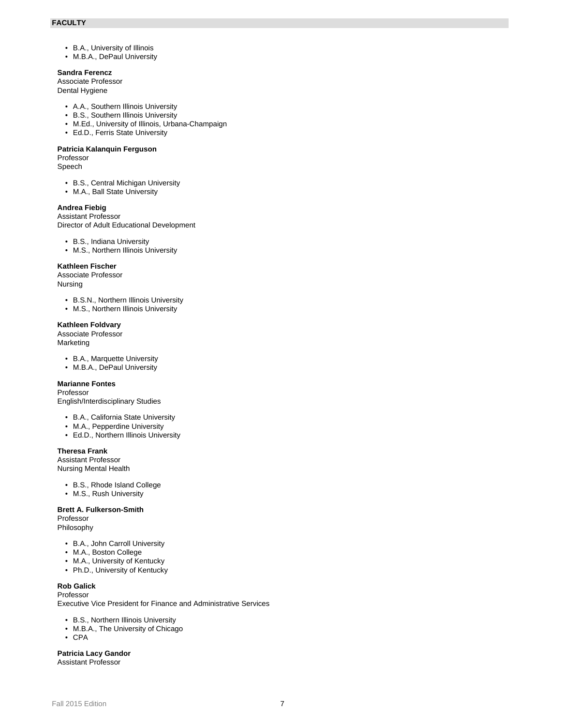- B.A., University of Illinois
- M.B.A., DePaul University

#### **Sandra Ferencz**

Associate Professor

Dental Hygiene

- A.A., Southern Illinois University
- B.S., Southern Illinois University
- M.Ed., University of Illinois, Urbana-Champaign • Ed.D., Ferris State University
- 

# **Patricia Kalanquin Ferguson**

Professor Speech

- B.S., Central Michigan University
- M.A., Ball State University

#### **Andrea Fiebig**

Assistant Professor Director of Adult Educational Development

- B.S., Indiana University
- M.S., Northern Illinois University

#### **Kathleen Fischer**

Associate Professor Nursing

- B.S.N., Northern Illinois University
- M.S., Northern Illinois University

#### **Kathleen Foldvary**

Associate Professor Marketing

- B.A., Marquette University
- M.B.A., DePaul University

### **Marianne Fontes**

Professor English/Interdisciplinary Studies

- B.A., California State University
- M.A., Pepperdine University
- Ed.D., Northern Illinois University

### **Theresa Frank**

Assistant Professor Nursing Mental Health

- B.S., Rhode Island College
- M.S., Rush University

### **Brett A. Fulkerson-Smith**

Professor Philosophy

- B.A., John Carroll University
- M.A., Boston College
- M.A., University of Kentucky
- Ph.D., University of Kentucky

# **Rob Galick**

Professor Executive Vice President for Finance and Administrative Services

- B.S., Northern Illinois University
- M.B.A., The University of Chicago
- CPA

**Patricia Lacy Gandor** Assistant Professor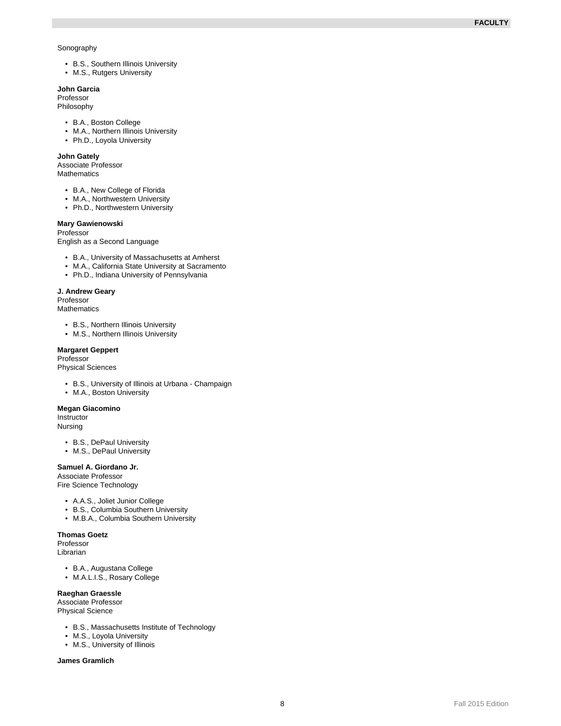#### Sonography

- B.S., Southern Illinois University
- M.S., Rutgers University

### **John Garcia**

Professor Philosophy

- B.A., Boston College
- M.A., Northern Illinois University
- Ph.D., Loyola University

#### **John Gately**

Associate Professor **Mathematics** 

- B.A., New College of Florida
- M.A., Northwestern University
- Ph.D., Northwestern University

### **Mary Gawienowski**

Professor

English as a Second Language

- B.A., University of Massachusetts at Amherst
- M.A., California State University at Sacramento
- Ph.D., Indiana University of Pennsylvania

#### **J. Andrew Geary**

Professor **Mathematics** 

- B.S., Northern Illinois University
- M.S., Northern Illinois University

#### **Margaret Geppert**

Professor

Physical Sciences

- B.S., University of Illinois at Urbana Champaign
- M.A., Boston University

#### **Megan Giacomino**

Instructor

Nursing

- B.S., DePaul University
- M.S., DePaul University

### **Samuel A. Giordano Jr.**

Associate Professor

Fire Science Technology

- A.A.S., Joliet Junior College
- B.S., Columbia Southern University
- M.B.A., Columbia Southern University

#### **Thomas Goetz**

Professor Librarian

- B.A., Augustana College
- M.A.L.I.S., Rosary College

### **Raeghan Graessle**

Associate Professor

Physical Science

- B.S., Massachusetts Institute of Technology
- M.S., Loyola University
- M.S., University of Illinois

**James Gramlich**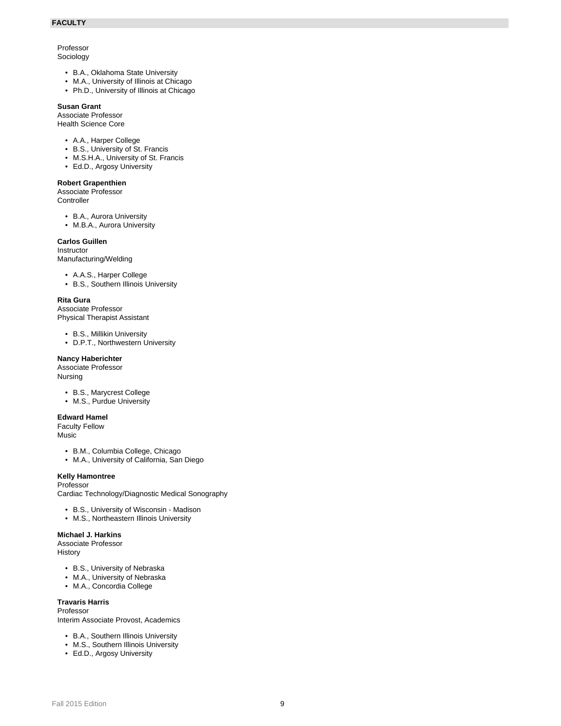# Professor

### Sociology

- B.A., Oklahoma State University
- M.A., University of Illinois at Chicago
- Ph.D., University of Illinois at Chicago

### **Susan Grant**

Associate Professor Health Science Core

- A.A., Harper College
- B.S., University of St. Francis
- M.S.H.A., University of St. Francis
- Ed.D., Argosy University

### **Robert Grapenthien**

Associate Professor **Controller** 

- B.A., Aurora University
- M.B.A., Aurora University

### **Carlos Guillen**

Instructor

Manufacturing/Welding

- A.A.S., Harper College
- B.S., Southern Illinois University

#### **Rita Gura**

Associate Professor Physical Therapist Assistant

- B.S., Millikin University
- D.P.T., Northwestern University

### **Nancy Haberichter**

Associate Professor Nursing

- B.S., Marycrest College
- M.S., Purdue University

### **Edward Hamel**

Faculty Fellow Music

- B.M., Columbia College, Chicago
- M.A., University of California, San Diego

### **Kelly Hamontree**

Professor Cardiac Technology/Diagnostic Medical Sonography

- B.S., University of Wisconsin Madison
- M.S., Northeastern Illinois University

### **Michael J. Harkins**

Associate Professor History

- B.S., University of Nebraska
- M.A., University of Nebraska
- M.A., Concordia College

### **Travaris Harris**

Professor Interim Associate Provost, Academics

- B.A., Southern Illinois University
- M.S., Southern Illinois University
- Ed.D., Argosy University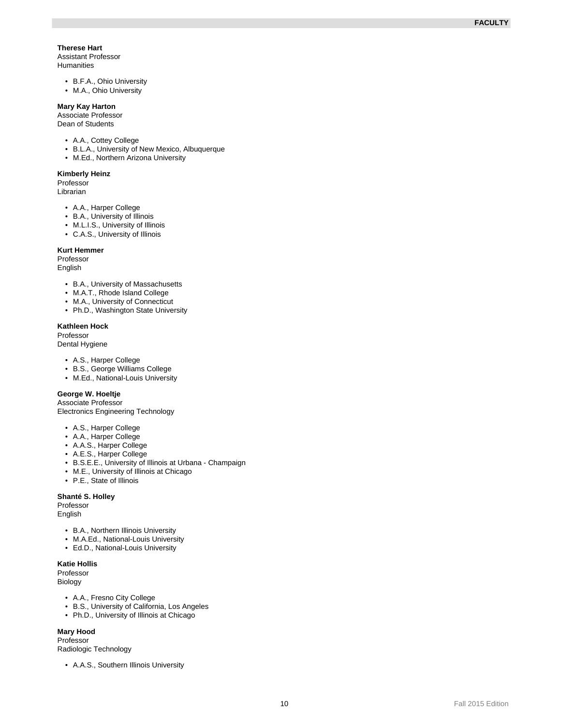### **Therese Hart**

Assistant Professor Humanities

- B.F.A., Ohio University
- M.A., Ohio University

## **Mary Kay Harton**

Associate Professor Dean of Students

- A.A., Cottey College
- B.L.A., University of New Mexico, Albuquerque
- M.Ed., Northern Arizona University

#### **Kimberly Heinz**

Professor Librarian

- A.A., Harper College
- B.A., University of Illinois
- M.L.I.S., University of Illinois
- C.A.S., University of Illinois

#### **Kurt Hemmer**

Professor English

- B.A., University of Massachusetts
- M.A.T., Rhode Island College
- M.A., University of Connecticut
- Ph.D., Washington State University

### **Kathleen Hock**

Professor Dental Hygiene

- A.S., Harper College
- B.S., George Williams College
- M.Ed., National-Louis University

### **George W. Hoeltje**

Associate Professor Electronics Engineering Technology

- A.S., Harper College
- A.A., Harper College
- A.A.S., Harper College
- A.E.S., Harper College
- B.S.E.E., University of Illinois at Urbana Champaign
- M.E., University of Illinois at Chicago
- P.E., State of Illinois

# **Shanté S. Holley**

Professor English

- 
- B.A., Northern Illinois University
- M.A.Ed., National-Louis University
- Ed.D., National-Louis University

# **Katie Hollis**

Professor Biology

- A.A., Fresno City College
- B.S., University of California, Los Angeles
- Ph.D., University of Illinois at Chicago

### **Mary Hood**

Professor Radiologic Technology

• A.A.S., Southern Illinois University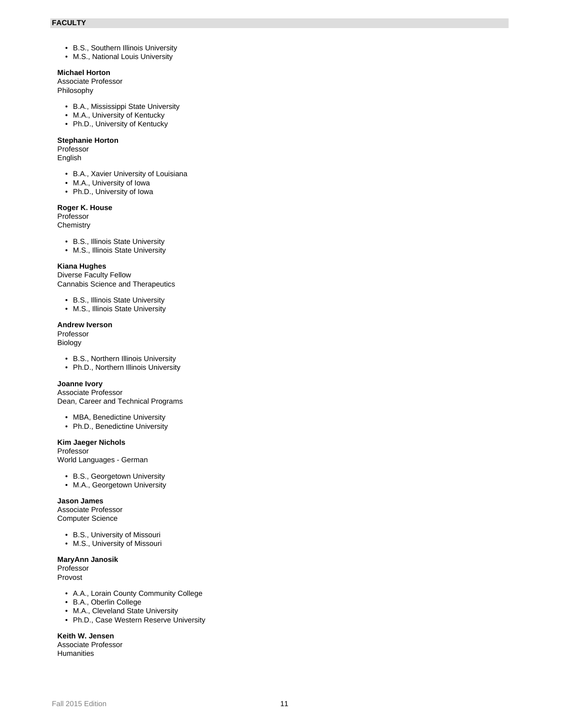- B.S., Southern Illinois University
- M.S., National Louis University

# **Michael Horton**

Associate Professor

Philosophy

- B.A., Mississippi State University
- M.A., University of Kentucky
- Ph.D., University of Kentucky

# **Stephanie Horton**

Professor English

- B.A., Xavier University of Louisiana
- M.A., University of Iowa
- Ph.D., University of Iowa

### **Roger K. House**

Professor **Chemistry** 

- B.S., Illinois State University
- M.S., Illinois State University

## **Kiana Hughes**

Diverse Faculty Fellow Cannabis Science and Therapeutics

- B.S., Illinois State University
- M.S., Illinois State University

### **Andrew Iverson**

Professor Biology

- B.S., Northern Illinois University
- Ph.D., Northern Illinois University

### **Joanne Ivory**

Associate Professor Dean, Career and Technical Programs

- MBA, Benedictine University
- Ph.D., Benedictine University

### **Kim Jaeger Nichols**

Professor

World Languages - German

- B.S., Georgetown University
- M.A., Georgetown University

### **Jason James**

Associate Professor Computer Science

- B.S., University of Missouri
- M.S., University of Missouri

### **MaryAnn Janosik**

Professor Provost

- A.A., Lorain County Community College
- B.A., Oberlin College
- M.A., Cleveland State University
- Ph.D., Case Western Reserve University

# **Keith W. Jensen**

Associate Professor **Humanities**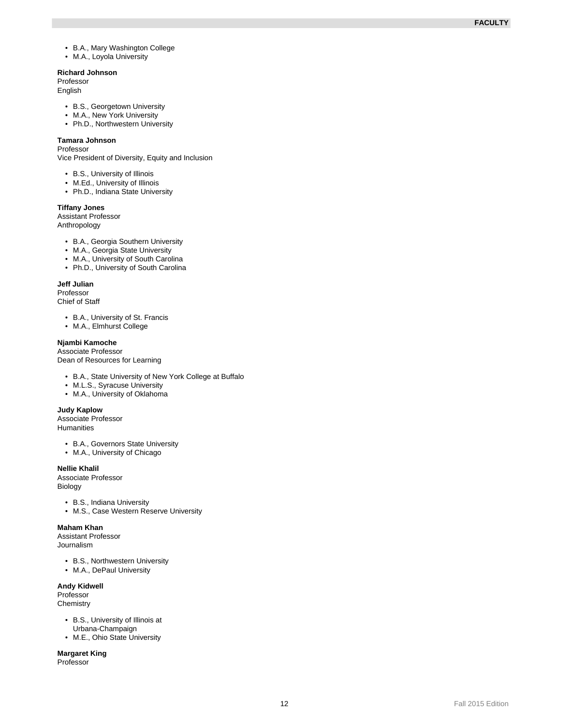- B.A., Mary Washington College
- M.A., Loyola University

# **Richard Johnson**

Professor

**English** 

- B.S., Georgetown University
- M.A., New York University
- Ph.D., Northwestern University

# **Tamara Johnson**

Professor

Vice President of Diversity, Equity and Inclusion

- B.S., University of Illinois
- M.Ed., University of Illinois
- Ph.D., Indiana State University

#### **Tiffany Jones**

Assistant Professor

Anthropology

- B.A., Georgia Southern University
- M.A., Georgia State University
- M.A., University of South Carolina
- Ph.D., University of South Carolina

#### **Jeff Julian**

Professor Chief of Staff

- B.A., University of St. Francis
- M.A., Elmhurst College

## **Njambi Kamoche**

Associate Professor Dean of Resources for Learning

- B.A., State University of New York College at Buffalo
- M.L.S., Syracuse University
- M.A., University of Oklahoma

### **Judy Kaplow**

Associate Professor **Humanities** 

- B.A., Governors State University
- M.A., University of Chicago

### **Nellie Khalil**

Associate Professor Biology

- B.S., Indiana University
- M.S., Case Western Reserve University

#### **Maham Khan**

Assistant Professor Journalism

- B.S., Northwestern University
- M.A., DePaul University

# **Andy Kidwell**

Professor **Chemistry** 

- B.S., University of Illinois at Urbana-Champaign
- M.E., Ohio State University

**Margaret King** Professor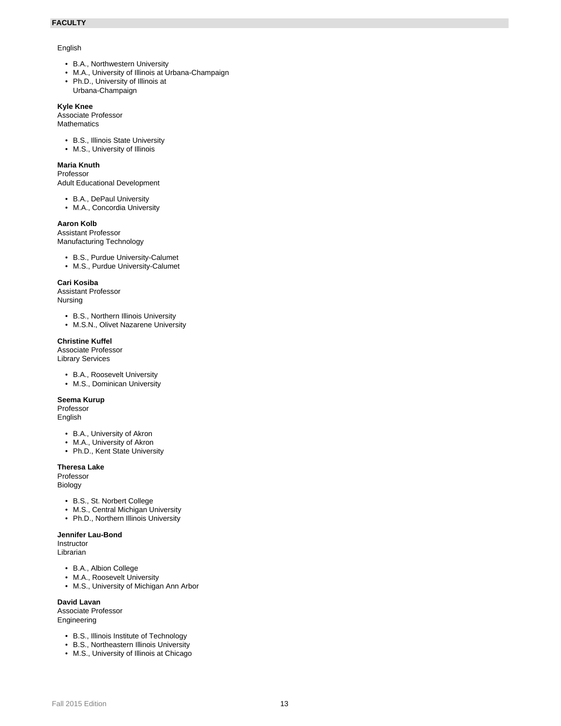### English

- B.A., Northwestern University
- M.A., University of Illinois at Urbana-Champaign
- Ph.D., University of Illinois at
- Urbana-Champaign

# **Kyle Knee**

Associate Professor **Mathematics** 

- B.S., Illinois State University
- M.S., University of Illinois

# **Maria Knuth**

### Professor

Adult Educational Development

• B.A., DePaul University

• M.A., Concordia University

### **Aaron Kolb**

Assistant Professor Manufacturing Technology

- B.S., Purdue University-Calumet
- M.S., Purdue University-Calumet

### **Cari Kosiba**

Assistant Professor Nursing

- B.S., Northern Illinois University
- M.S.N., Olivet Nazarene University

### **Christine Kuffel**

Associate Professor Library Services

- B.A., Roosevelt University
- M.S., Dominican University

### **Seema Kurup**

Professor English

- B.A., University of Akron
- M.A., University of Akron
- Ph.D., Kent State University

# **Theresa Lake**

Professor Biology

- B.S., St. Norbert College
- M.S., Central Michigan University
- Ph.D., Northern Illinois University

# **Jennifer Lau-Bond**

Instructor Librarian

- 
- B.A., Albion College
- M.A., Roosevelt University • M.S., University of Michigan Ann Arbor

# **David Lavan**

Associate Professor Engineering

- B.S., Illinois Institute of Technology
- B.S., Northeastern Illinois University
- M.S., University of Illinois at Chicago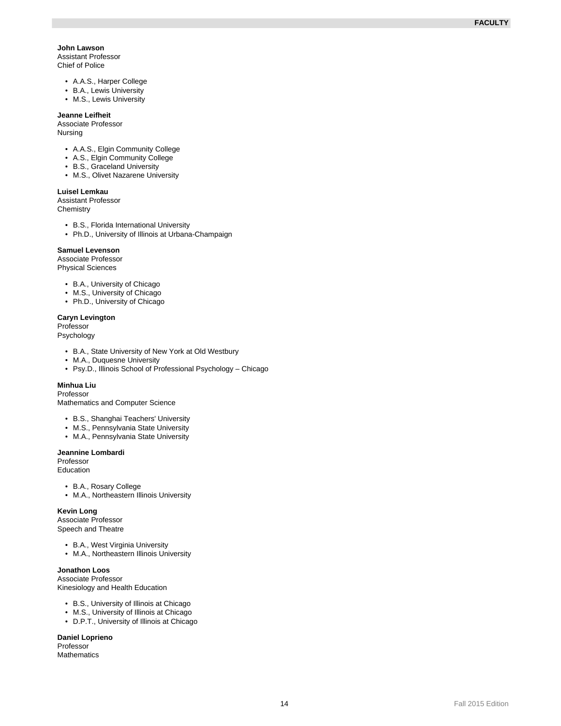### **John Lawson**

Assistant Professor Chief of Police

- A.A.S., Harper College
- B.A., Lewis University
- M.S., Lewis University

### **Jeanne Leifheit**

Associate Professor Nursing

- A.A.S., Elgin Community College
- A.S., Elgin Community College
- B.S., Graceland University
- M.S., Olivet Nazarene University

### **Luisel Lemkau**

Assistant Professor **Chemistry** 

- B.S., Florida International University
- Ph.D., University of Illinois at Urbana-Champaign

#### **Samuel Levenson**

Associate Professor Physical Sciences

- B.A., University of Chicago
- M.S., University of Chicago
- Ph.D., University of Chicago

### **Caryn Levington**

Professor

Psychology

- B.A., State University of New York at Old Westbury
- M.A., Duquesne University
- Psy.D., Illinois School of Professional Psychology Chicago

# **Minhua Liu**

Professor

Mathematics and Computer Science

- B.S., Shanghai Teachers' University
- M.S., Pennsylvania State University
- M.A., Pennsylvania State University

#### **Jeannine Lombardi**

Professor Education

- B.A., Rosary College
- M.A., Northeastern Illinois University

#### **Kevin Long**

Associate Professor Speech and Theatre

- B.A., West Virginia University
- M.A., Northeastern Illinois University

### **Jonathon Loos**

Associate Professor Kinesiology and Health Education

- B.S., University of Illinois at Chicago
- M.S., University of Illinois at Chicago
- D.P.T., University of Illinois at Chicago

# **Daniel Loprieno**

Professor Mathematics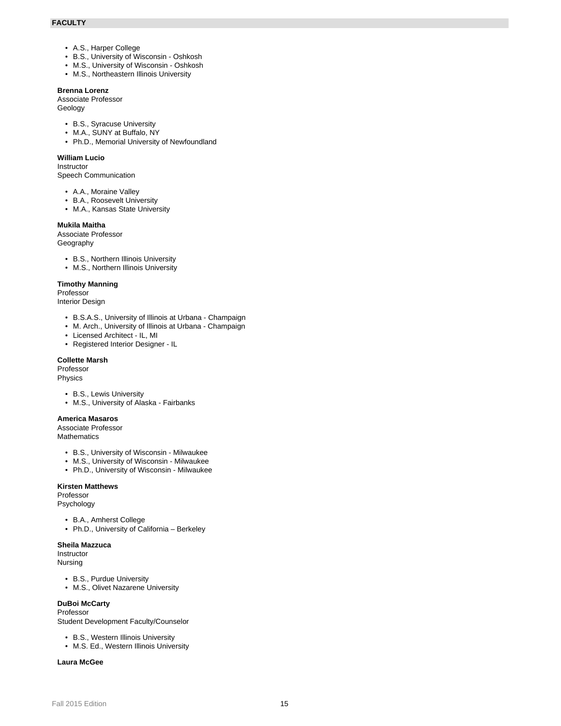- A.S., Harper College
- B.S., University of Wisconsin Oshkosh
- M.S., University of Wisconsin Oshkosh
- M.S., Northeastern Illinois University

## **Brenna Lorenz**

Associate Professor Geology

- B.S., Syracuse University
- M.A., SUNY at Buffalo, NY
- Ph.D., Memorial University of Newfoundland

### **William Lucio**

Instructor

Speech Communication

- A.A., Moraine Valley
- B.A., Roosevelt University
- M.A., Kansas State University

# **Mukila Maitha**

Associate Professor **Geography** 

- B.S., Northern Illinois University
- M.S., Northern Illinois University

#### **Timothy Manning**

Professor Interior Design

- B.S.A.S., University of Illinois at Urbana Champaign
- M. Arch., University of Illinois at Urbana Champaign
- Licensed Architect IL, MI
- Registered Interior Designer IL

#### **Collette Marsh**

Professor Physics

- B.S., Lewis University
- M.S., University of Alaska Fairbanks

### **America Masaros**

Associate Professor **Mathematics** 

- B.S., University of Wisconsin Milwaukee
- M.S., University of Wisconsin Milwaukee
- Ph.D., University of Wisconsin Milwaukee

### **Kirsten Matthews**

Professor Psychology

- 
- B.A., Amherst College
- Ph.D., University of California Berkeley

# **Sheila Mazzuca**

Instructor Nursing

- B.S., Purdue University
- M.S., Olivet Nazarene University

### **DuBoi McCarty**

#### Professor

Student Development Faculty/Counselor

- B.S., Western Illinois University
- M.S. Ed., Western Illinois University

#### **Laura McGee**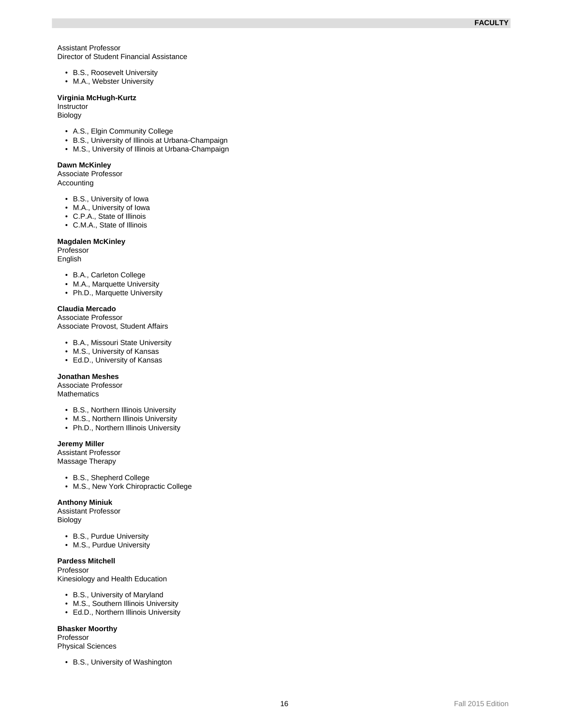Assistant Professor Director of Student Financial Assistance

- B.S., Roosevelt University
- M.A., Webster University

#### **Virginia McHugh-Kurtz**

Instructor Biology

- A.S., Elgin Community College
- B.S., University of Illinois at Urbana-Champaign
- M.S., University of Illinois at Urbana-Champaign

### **Dawn McKinley**

Associate Professor Accounting

- B.S., University of Iowa
- M.A., University of Iowa
- C.P.A., State of Illinois
- C.M.A., State of Illinois

#### **Magdalen McKinley**

Professor English

- B.A., Carleton College
- M.A., Marquette University
- Ph.D., Marquette University

### **Claudia Mercado**

Associate Professor Associate Provost, Student Affairs

- B.A., Missouri State University M.S., University of Kansas
- 
- Ed.D., University of Kansas

#### **Jonathan Meshes**

Associate Professor **Mathematics** 

- B.S., Northern Illinois University
- M.S., Northern Illinois University
- Ph.D., Northern Illinois University

### **Jeremy Miller**

Assistant Professor Massage Therapy

- B.S., Shepherd College
- M.S., New York Chiropractic College

#### **Anthony Miniuk**

Assistant Professor Biology

- B.S., Purdue University
- M.S., Purdue University

### **Pardess Mitchell**

Professor

Kinesiology and Health Education

- B.S., University of Maryland
- M.S., Southern Illinois University
- Ed.D., Northern Illinois University

### **Bhasker Moorthy**

Professor Physical Sciences

• B.S., University of Washington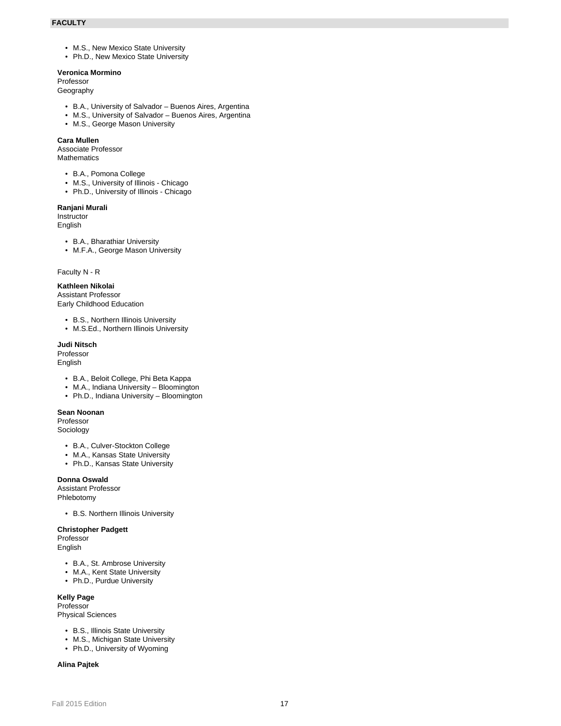- M.S., New Mexico State University
- Ph.D., New Mexico State University

# **Veronica Mormino**

## Professor

Geography

- B.A., University of Salvador Buenos Aires, Argentina
- M.S., University of Salvador Buenos Aires, Argentina
- M.S., George Mason University

### **Cara Mullen**

Associate Professor **Mathematics** 

- B.A., Pomona College
- M.S., University of Illinois Chicago
- Ph.D., University of Illinois Chicago

#### **Ranjani Murali**

Instructor

English

- B.A., Bharathiar University
- M.F.A., George Mason University

Faculty N - R

# **Kathleen Nikolai**

Assistant Professor Early Childhood Education

- B.S., Northern Illinois University
- M.S.Ed., Northern Illinois University

**Judi Nitsch**

Professor English

- B.A., Beloit College, Phi Beta Kappa
- M.A., Indiana University Bloomington
- Ph.D., Indiana University Bloomington

#### **Sean Noonan**

Professor Sociology

- B.A., Culver-Stockton College
- M.A., Kansas State University
- Ph.D., Kansas State University

### **Donna Oswald**

Assistant Professor Phlebotomy

• B.S. Northern Illinois University

### **Christopher Padgett**

Professor English

- B.A., St. Ambrose University
- M.A., Kent State University
- Ph.D., Purdue University

### **Kelly Page**

Professor Physical Sciences

- B.S., Illinois State University
- M.S., Michigan State University
- Ph.D., University of Wyoming

**Alina Pajtek**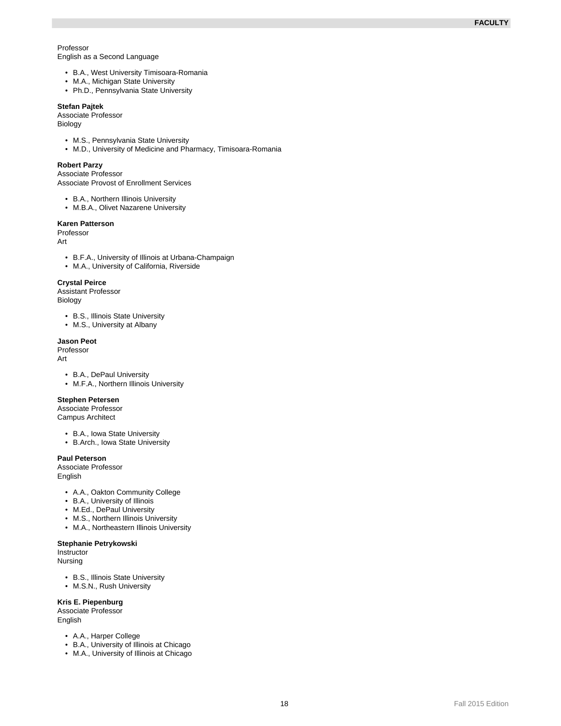Professor English as a Second Language

- B.A., West University Timisoara-Romania
- M.A., Michigan State University
- Ph.D., Pennsylvania State University

#### **Stefan Pajtek**

Associate Professor

Biology

- M.S., Pennsylvania State University
- M.D., University of Medicine and Pharmacy, Timisoara-Romania

### **Robert Parzy**

Associate Professor Associate Provost of Enrollment Services

- B.A., Northern Illinois University
- M.B.A., Olivet Nazarene University

### **Karen Patterson**

Professor

Art

- B.F.A., University of Illinois at Urbana-Champaign
- M.A., University of California, Riverside

#### **Crystal Peirce**

Assistant Professor Biology

- B.S., Illinois State University
- M.S., University at Albany

#### **Jason Peot**

Professor Art

- B.A., DePaul University
- M.F.A., Northern Illinois University

#### **Stephen Petersen**

Associate Professor Campus Architect

- B.A., Iowa State University
- B.Arch., Iowa State University

### **Paul Peterson**

Associate Professor English

- A.A., Oakton Community College
- B.A., University of Illinois
- M.Ed., DePaul University
- M.S., Northern Illinois University
- M.A., Northeastern Illinois University

#### **Stephanie Petrykowski**

**Instructor** 

- Nursing
	- B.S., Illinois State University
	- M.S.N., Rush University

### **Kris E. Piepenburg**

Associate Professor English

- A.A., Harper College
- B.A., University of Illinois at Chicago
- M.A., University of Illinois at Chicago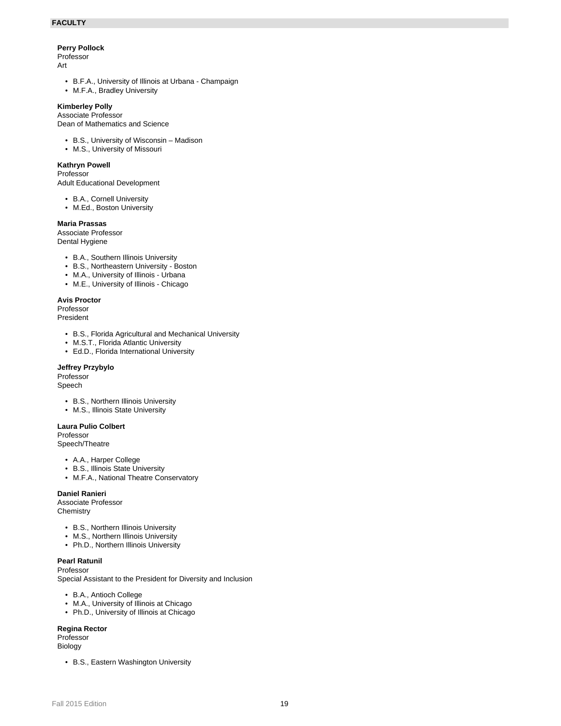### **Perry Pollock**

Professor Art

- B.F.A., University of Illinois at Urbana Champaign
- M.F.A., Bradley University

### **Kimberley Polly**

Associate Professor Dean of Mathematics and Science

- B.S., University of Wisconsin Madison
- M.S., University of Missouri

#### **Kathryn Powell**

#### Professor

Adult Educational Development

- B.A., Cornell University
- M.Ed., Boston University

### **Maria Prassas**

Associate Professor Dental Hygiene

- B.A., Southern Illinois University
- B.S., Northeastern University Boston
- M.A., University of Illinois Urbana
- M.E., University of Illinois Chicago

#### **Avis Proctor**

Professor President

- B.S., Florida Agricultural and Mechanical University
- M.S.T., Florida Atlantic University
- Ed.D., Florida International University

### **Jeffrey Przybylo**

Professor

- Speech
	- B.S., Northern Illinois University
	- M.S., Illinois State University

### **Laura Pulio Colbert**

Professor Speech/Theatre

- A.A., Harper College
- B.S., Illinois State University
- M.F.A., National Theatre Conservatory

### **Daniel Ranieri**

Associate Professor **Chemistry** 

- B.S., Northern Illinois University
- M.S., Northern Illinois University
- Ph.D., Northern Illinois University

#### **Pearl Ratunil** Professor

Special Assistant to the President for Diversity and Inclusion

- B.A., Antioch College
- M.A., University of Illinois at Chicago
- Ph.D., University of Illinois at Chicago

### **Regina Rector**

Professor Biology

• B.S., Eastern Washington University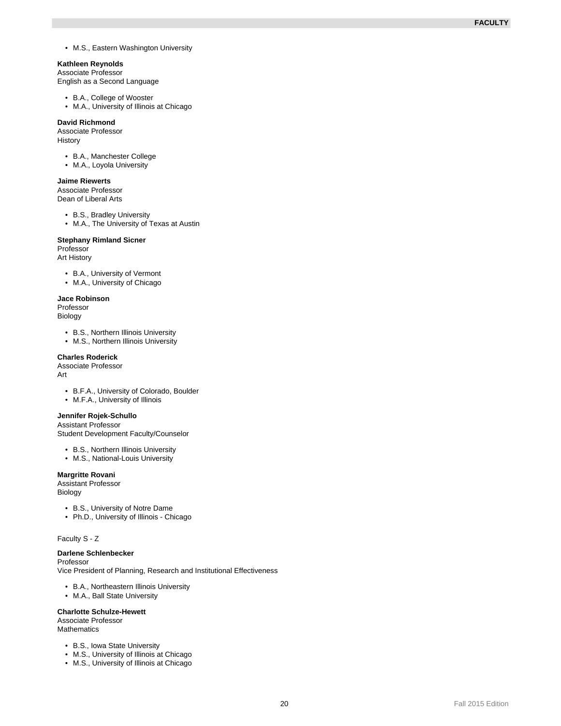• M.S., Eastern Washington University

#### **Kathleen Reynolds**

Associate Professor English as a Second Language

- B.A., College of Wooster
- M.A., University of Illinois at Chicago

#### **David Richmond**

Associate Professor History

- B.A., Manchester College
- M.A., Loyola University

### **Jaime Riewerts**

Associate Professor Dean of Liberal Arts

• B.S., Bradley University

• M.A., The University of Texas at Austin

#### **Stephany Rimland Sicner**

Professor

- Art History
	- B.A., University of Vermont
	- M.A., University of Chicago

### **Jace Robinson**

Professor Biology

- B.S., Northern Illinois University
- M.S., Northern Illinois University

#### **Charles Roderick**

Associate Professor Art

- B.F.A., University of Colorado, Boulder
- M.F.A., University of Illinois

#### **Jennifer Rojek-Schullo**

Assistant Professor Student Development Faculty/Counselor

- B.S., Northern Illinois University
- M.S., National-Louis University

### **Margritte Rovani**

Assistant Professor Biology

- B.S., University of Notre Dame
- Ph.D., University of Illinois Chicago

### Faculty S - Z

# **Darlene Schlenbecker**

Professor Vice President of Planning, Research and Institutional Effectiveness

- B.A., Northeastern Illinois University
- M.A., Ball State University

### **Charlotte Schulze-Hewett**

Associate Professor **Mathematics** 

- B.S., Iowa State University
- M.S., University of Illinois at Chicago
- M.S., University of Illinois at Chicago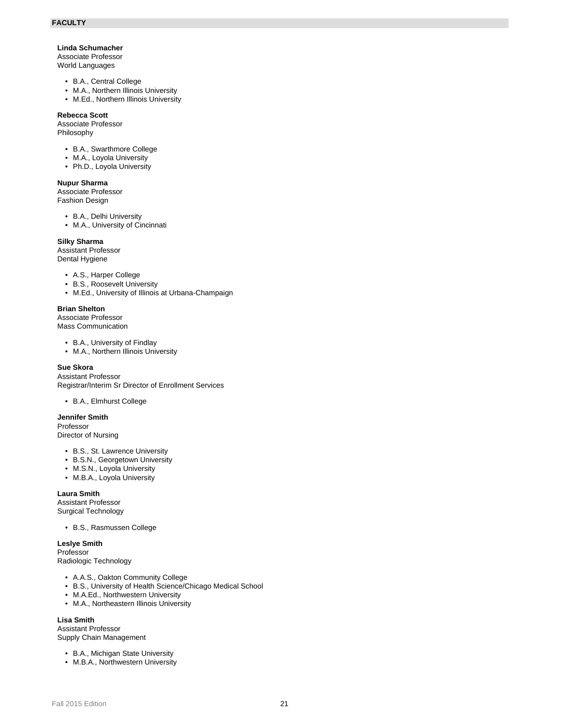### **Linda Schumacher**

Associate Professor World Languages

- B.A., Central College
- M.A., Northern Illinois University
- M.Ed., Northern Illinois University

#### **Rebecca Scott**

Associate Professor Philosophy

- B.A., Swarthmore College
- M.A., Loyola University
- Ph.D., Loyola University

#### **Nupur Sharma**

Associate Professor Fashion Design

- B.A., Delhi University
- M.A., University of Cincinnati

### **Silky Sharma**

Assistant Professor Dental Hygiene

- A.S., Harper College
- B.S., Roosevelt University
- M.Ed., University of Illinois at Urbana-Champaign

### **Brian Shelton**

Associate Professor Mass Communication

- B.A., University of Findlay
- M.A., Northern Illinois University

### **Sue Skora**

Assistant Professor Registrar/Interim Sr Director of Enrollment Services

• B.A., Elmhurst College

### **Jennifer Smith**

Professor Director of Nursing

- B.S., St. Lawrence University
- B.S.N., Georgetown University
- M.S.N., Loyola University
- M.B.A., Loyola University

# **Laura Smith**

Assistant Professor Surgical Technology

• B.S., Rasmussen College

**Leslye Smith** Professor Radiologic Technology

- A.A.S., Oakton Community College
- B.S., University of Health Science/Chicago Medical School
- M.A.Ed., Northwestern University
- M.A., Northeastern Illinois University

### **Lisa Smith**

Assistant Professor Supply Chain Management

- B.A., Michigan State University
- M.B.A., Northwestern University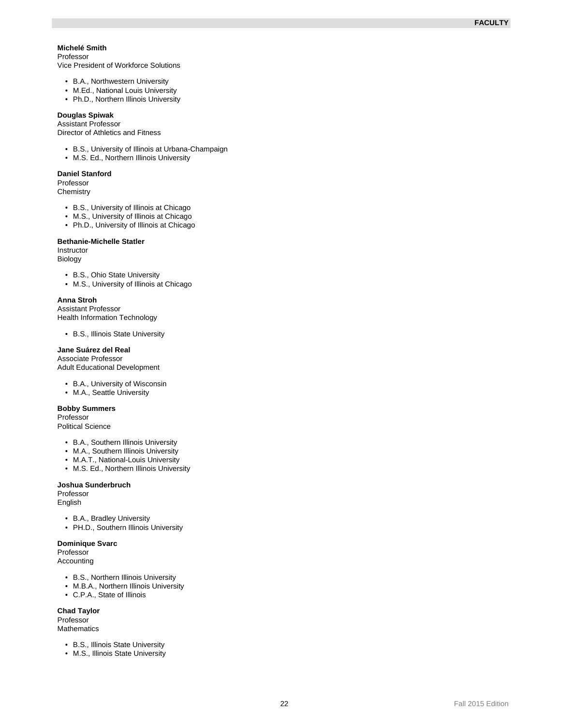#### **Michelé Smith** Professor

Vice President of Workforce Solutions

- B.A., Northwestern University
- M.Ed., National Louis University
- Ph.D., Northern Illinois University

#### **Douglas Spiwak**

Assistant Professor Director of Athletics and Fitness

- B.S., University of Illinois at Urbana-Champaign
- M.S. Ed., Northern Illinois University

#### **Daniel Stanford**

Professor **Chemistry** 

- B.S., University of Illinois at Chicago
- M.S., University of Illinois at Chicago
- Ph.D., University of Illinois at Chicago

#### **Bethanie-Michelle Statler**

Instructor Biology

- B.S., Ohio State University
- M.S., University of Illinois at Chicago

#### **Anna Stroh**

Assistant Professor Health Information Technology

• B.S., Illinois State University

#### **Jane Suárez del Real**

Associate Professor Adult Educational Development

- B.A., University of Wisconsin
- M.A., Seattle University

### **Bobby Summers**

Professor

Political Science

- B.A., Southern Illinois University
- M.A., Southern Illinois University
- M.A.T., National-Louis University
- M.S. Ed., Northern Illinois University

#### **Joshua Sunderbruch**

Professor English

- B.A., Bradley University
- PH.D., Southern Illinois University

## **Dominique Svarc**

Professor Accounting

- B.S., Northern Illinois University
- M.B.A., Northern Illinois University
- C.P.A., State of Illinois

### **Chad Taylor**

Professor **Mathematics** 

- B.S., Illinois State University
- M.S., Illinois State University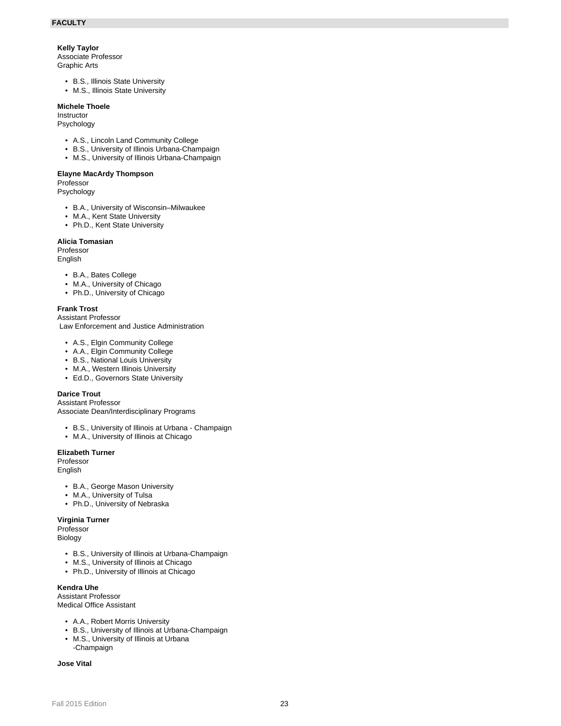#### **Kelly Taylor**

Associate Professor Graphic Arts

- B.S., Illinois State University
- M.S., Illinois State University

#### **Michele Thoele**

Instructor

Psychology

- A.S., Lincoln Land Community College
- B.S., University of Illinois Urbana-Champaign
- M.S., University of Illinois Urbana-Champaign

#### **Elayne MacArdy Thompson**

Professor Psychology

- B.A., University of Wisconsin–Milwaukee
- M.A., Kent State University
- Ph.D., Kent State University

#### **Alicia Tomasian**

Professor

English

- B.A., Bates College
- M.A., University of Chicago
- Ph.D., University of Chicago

### **Frank Trost**

Assistant Professor

Law Enforcement and Justice Administration

- A.S., Elgin Community College
- A.A., Elgin Community College
- B.S., National Louis University
- M.A., Western Illinois University
- Ed.D., Governors State University

### **Darice Trout**

Assistant Professor Associate Dean/Interdisciplinary Programs

- B.S., University of Illinois at Urbana Champaign
- M.A., University of Illinois at Chicago

#### **Elizabeth Turner**

Professor

- English
	- B.A., George Mason University
	- M.A., University of Tulsa
	- Ph.D., University of Nebraska

### **Virginia Turner**

Professor Biology

- B.S., University of Illinois at Urbana-Champaign
- M.S., University of Illinois at Chicago
- Ph.D., University of Illinois at Chicago

### **Kendra Uhe**

Assistant Professor Medical Office Assistant

- A.A., Robert Morris University
- B.S., University of Illinois at Urbana-Champaign
- M.S., University of Illinois at Urbana -Champaign

#### **Jose Vital**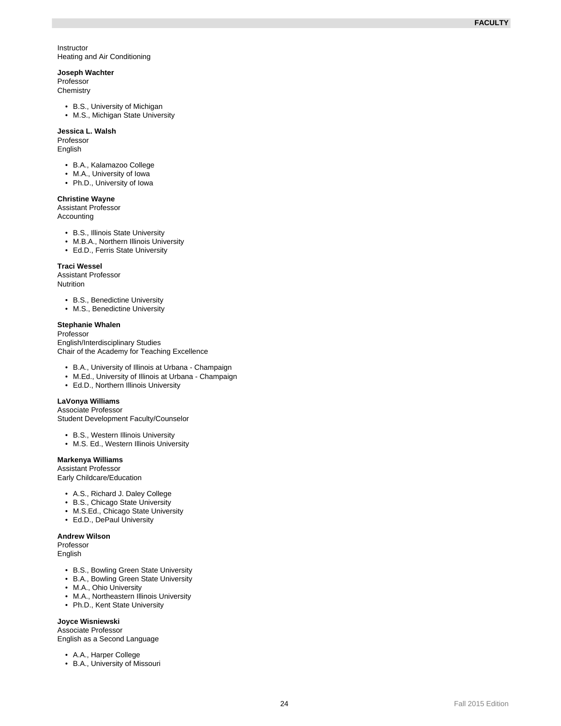Instructor Heating and Air Conditioning

# **Joseph Wachter**

Professor

**Chemistry** 

- B.S., University of Michigan
- M.S., Michigan State University

### **Jessica L. Walsh**

Professor English

- B.A., Kalamazoo College
- M.A., University of Iowa
- Ph.D., University of Iowa

### **Christine Wayne**

Assistant Professor

Accounting

- B.S., Illinois State University
- M.B.A., Northern Illinois University
- Ed.D., Ferris State University

### **Traci Wessel**

Assistant Professor **Nutrition** 

- B.S., Benedictine University
- M.S., Benedictine University

#### **Stephanie Whalen**

Professor English/Interdisciplinary Studies Chair of the Academy for Teaching Excellence

- B.A., University of Illinois at Urbana Champaign
- M.Ed., University of Illinois at Urbana Champaign
- Ed.D., Northern Illinois University

### **LaVonya Williams**

Associate Professor Student Development Faculty/Counselor

- B.S., Western Illinois University
- M.S. Ed., Western Illinois University

# **Markenya Williams**

Assistant Professor Early Childcare/Education

- A.S., Richard J. Daley College
- B.S., Chicago State University
- M.S.Ed., Chicago State University
- Ed.D., DePaul University

#### **Andrew Wilson**

Professor English

- B.S., Bowling Green State University
- B.A., Bowling Green State University
- M.A., Ohio University
- M.A., Northeastern Illinois University
- Ph.D., Kent State University

### **Joyce Wisniewski**

Associate Professor English as a Second Language

- A.A., Harper College
- B.A., University of Missouri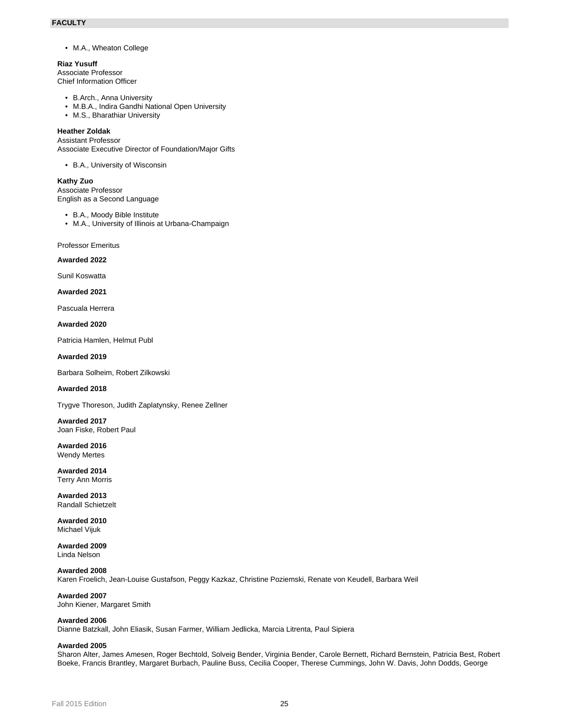• M.A., Wheaton College

**Riaz Yusuff** Associate Professor Chief Information Officer

- B.Arch., Anna University
- M.B.A., Indira Gandhi National Open University
- M.S., Bharathiar University

### **Heather Zoldak**

Assistant Professor Associate Executive Director of Foundation/Major Gifts

• B.A., University of Wisconsin

**Kathy Zuo** Associate Professor English as a Second Language

• B.A., Moody Bible Institute

• M.A., University of Illinois at Urbana-Champaign

Professor Emeritus

**Awarded 2022**

Sunil Koswatta

**Awarded 2021**

Pascuala Herrera

**Awarded 2020**

Patricia Hamlen, Helmut Publ

#### **Awarded 2019**

Barbara Solheim, Robert Zilkowski

#### **Awarded 2018**

Trygve Thoreson, Judith Zaplatynsky, Renee Zellner

**Awarded 2017** Joan Fiske, Robert Paul

**Awarded 2016** Wendy Mertes

**Awarded 2014** Terry Ann Morris

**Awarded 2013** Randall Schietzelt

**Awarded 2010** Michael Vijuk

**Awarded 2009** Linda Nelson

**Awarded 2008** Karen Froelich, Jean-Louise Gustafson, Peggy Kazkaz, Christine Poziemski, Renate von Keudell, Barbara Weil

**Awarded 2007** John Kiener, Margaret Smith

#### **Awarded 2006**

Dianne Batzkall, John Eliasik, Susan Farmer, William Jedlicka, Marcia Litrenta, Paul Sipiera

#### **Awarded 2005**

Sharon Alter, James Amesen, Roger Bechtold, Solveig Bender, Virginia Bender, Carole Bernett, Richard Bernstein, Patricia Best, Robert Boeke, Francis Brantley, Margaret Burbach, Pauline Buss, Cecilia Cooper, Therese Cummings, John W. Davis, John Dodds, George